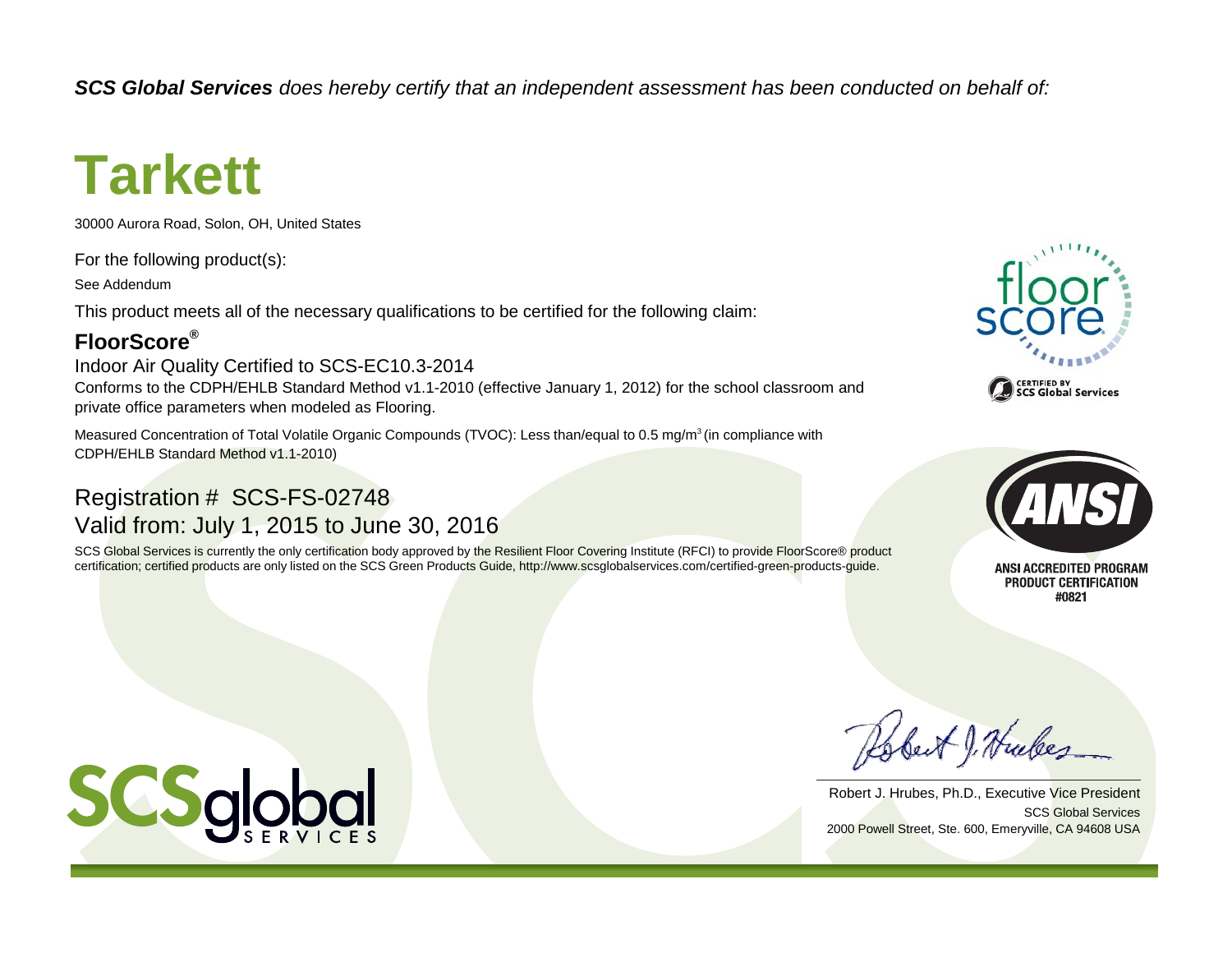*SCS Global Services does hereby certify that an independent assessment has been conducted on behalf of:*

# **Tarkett**

30000 Aurora Road, Solon, OH, United States

For the following product(s):

See Addendum

This product meets all of the necessary qualifications to be certified for the following claim:

### **FloorScore®**

Indoor Air Quality Certified to SCS-EC10.3-2014

Conforms to the CDPH/EHLB Standard Method v1.1-2010 (effective January 1, 2012) for the school classroom and private office parameters when modeled as Flooring.

Measured Concentration of Total Volatile Organic Compounds (TVOC): Less than/equal to 0.5 mg/m<sup>3</sup> (in compliance with CDPH/EHLB Standard Method v1.1-2010)

## Registration # SCS-FS-02748 Valid from: July 1, 2015 to June 30, 2016

SCS Global Services is currently the only certification body approved by the Resilient Floor Covering Institute (RFCI) to provide FloorScore® product certification; certified products are only listed on the SCS Green Products Guide, http://www.scsglobalservices.com/certified-green-products-guide.





**ANSI ACCREDITED PROGRAM** PRODUCT CERTIFICATION #0821

Robert J. Hubes

SCS Global ServicesRobert J. Hrubes, Ph.D., Executive Vice President 2000 Powell Street, Ste. 600, Emeryville, CA 94608 USA